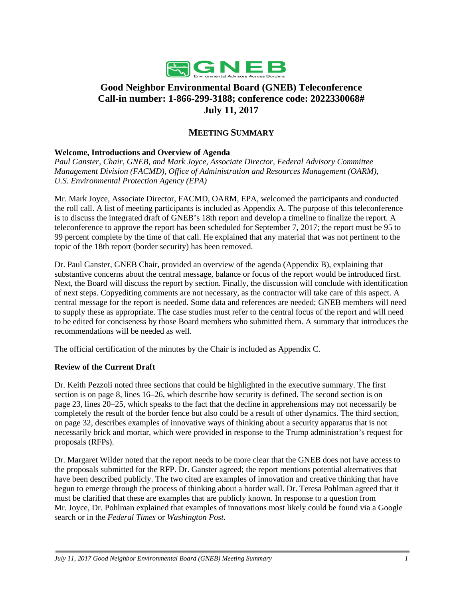

# **Good Neighbor Environmental Board (GNEB) Teleconference Call-in number: 1-866-299-3188; conference code: 2022330068# July 11, 2017**

# **MEETING SUMMARY**

#### **Welcome, Introductions and Overview of Agenda**

*Paul Ganster, Chair, GNEB, and Mark Joyce, Associate Director, Federal Advisory Committee Management Division (FACMD), Office of Administration and Resources Management (OARM), U.S. Environmental Protection Agency (EPA)*

Mr. Mark Joyce, Associate Director, FACMD, OARM, EPA, welcomed the participants and conducted the roll call. A list of meeting participants is included as Appendix A. The purpose of this teleconference is to discuss the integrated draft of GNEB's 18th report and develop a timeline to finalize the report. A teleconference to approve the report has been scheduled for September 7, 2017; the report must be 95 to 99 percent complete by the time of that call. He explained that any material that was not pertinent to the topic of the 18th report (border security) has been removed.

Dr. Paul Ganster, GNEB Chair, provided an overview of the agenda (Appendix B), explaining that substantive concerns about the central message, balance or focus of the report would be introduced first. Next, the Board will discuss the report by section. Finally, the discussion will conclude with identification of next steps. Copyediting comments are not necessary, as the contractor will take care of this aspect. A central message for the report is needed. Some data and references are needed; GNEB members will need to supply these as appropriate. The case studies must refer to the central focus of the report and will need to be edited for conciseness by those Board members who submitted them. A summary that introduces the recommendations will be needed as well.

The official certification of the minutes by the Chair is included as Appendix C.

#### **Review of the Current Draft**

Dr. Keith Pezzoli noted three sections that could be highlighted in the executive summary. The first section is on page 8, lines 16–26, which describe how security is defined. The second section is on page 23, lines 20–25, which speaks to the fact that the decline in apprehensions may not necessarily be completely the result of the border fence but also could be a result of other dynamics. The third section, on page 32, describes examples of innovative ways of thinking about a security apparatus that is not necessarily brick and mortar, which were provided in response to the Trump administration's request for proposals (RFPs).

Dr. Margaret Wilder noted that the report needs to be more clear that the GNEB does not have access to the proposals submitted for the RFP. Dr. Ganster agreed; the report mentions potential alternatives that have been described publicly. The two cited are examples of innovation and creative thinking that have begun to emerge through the process of thinking about a border wall. Dr. Teresa Pohlman agreed that it must be clarified that these are examples that are publicly known. In response to a question from Mr. Joyce, Dr. Pohlman explained that examples of innovations most likely could be found via a Google search or in the *Federal Times* or *Washington Post*.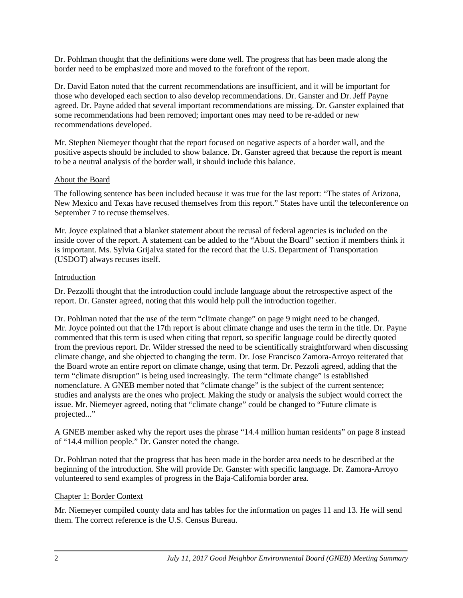Dr. Pohlman thought that the definitions were done well. The progress that has been made along the border need to be emphasized more and moved to the forefront of the report.

Dr. David Eaton noted that the current recommendations are insufficient, and it will be important for those who developed each section to also develop recommendations. Dr. Ganster and Dr. Jeff Payne agreed. Dr. Payne added that several important recommendations are missing. Dr. Ganster explained that some recommendations had been removed; important ones may need to be re-added or new recommendations developed.

Mr. Stephen Niemeyer thought that the report focused on negative aspects of a border wall, and the positive aspects should be included to show balance. Dr. Ganster agreed that because the report is meant to be a neutral analysis of the border wall, it should include this balance.

#### About the Board

The following sentence has been included because it was true for the last report: "The states of Arizona, New Mexico and Texas have recused themselves from this report." States have until the teleconference on September 7 to recuse themselves.

Mr. Joyce explained that a blanket statement about the recusal of federal agencies is included on the inside cover of the report. A statement can be added to the "About the Board" section if members think it is important. Ms. Sylvia Grijalva stated for the record that the U.S. Department of Transportation (USDOT) always recuses itself.

### Introduction

Dr. Pezzolli thought that the introduction could include language about the retrospective aspect of the report. Dr. Ganster agreed, noting that this would help pull the introduction together.

Dr. Pohlman noted that the use of the term "climate change" on page 9 might need to be changed. Mr. Joyce pointed out that the 17th report is about climate change and uses the term in the title. Dr. Payne commented that this term is used when citing that report, so specific language could be directly quoted from the previous report. Dr. Wilder stressed the need to be scientifically straightforward when discussing climate change, and she objected to changing the term. Dr. Jose Francisco Zamora-Arroyo reiterated that the Board wrote an entire report on climate change, using that term. Dr. Pezzoli agreed, adding that the term "climate disruption" is being used increasingly. The term "climate change" is established nomenclature. A GNEB member noted that "climate change" is the subject of the current sentence; studies and analysts are the ones who project. Making the study or analysis the subject would correct the issue. Mr. Niemeyer agreed, noting that "climate change" could be changed to "Future climate is projected..."

A GNEB member asked why the report uses the phrase "14.4 million human residents" on page 8 instead of "14.4 million people." Dr. Ganster noted the change.

Dr. Pohlman noted that the progress that has been made in the border area needs to be described at the beginning of the introduction. She will provide Dr. Ganster with specific language. Dr. Zamora-Arroyo volunteered to send examples of progress in the Baja-California border area.

# Chapter 1: Border Context

Mr. Niemeyer compiled county data and has tables for the information on pages 11 and 13. He will send them. The correct reference is the U.S. Census Bureau.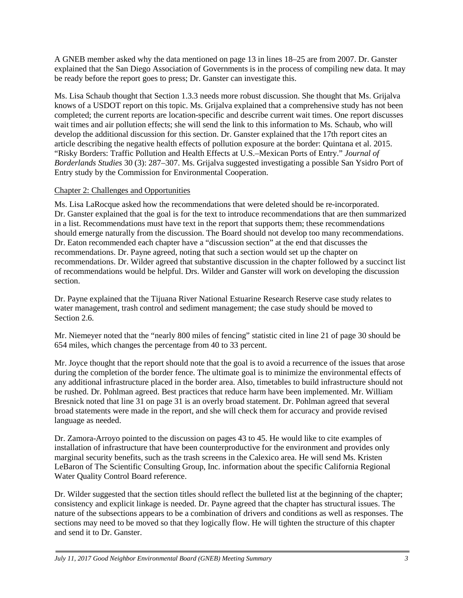A GNEB member asked why the data mentioned on page 13 in lines 18–25 are from 2007. Dr. Ganster explained that the San Diego Association of Governments is in the process of compiling new data. It may be ready before the report goes to press; Dr. Ganster can investigate this.

Ms. Lisa Schaub thought that Section 1.3.3 needs more robust discussion. She thought that Ms. Grijalva knows of a USDOT report on this topic. Ms. Grijalva explained that a comprehensive study has not been completed; the current reports are location-specific and describe current wait times. One report discusses wait times and air pollution effects; she will send the link to this information to Ms. Schaub, who will develop the additional discussion for this section. Dr. Ganster explained that the 17th report cites an article describing the negative health effects of pollution exposure at the border: Quintana et al. 2015. "Risky Borders: Traffic Pollution and Health Effects at U.S.–Mexican Ports of Entry." *Journal of Borderlands Studies* 30 (3): 287–307. Ms. Grijalva suggested investigating a possible San Ysidro Port of Entry study by the Commission for Environmental Cooperation.

#### Chapter 2: Challenges and Opportunities

Ms. Lisa LaRocque asked how the recommendations that were deleted should be re-incorporated. Dr. Ganster explained that the goal is for the text to introduce recommendations that are then summarized in a list. Recommendations must have text in the report that supports them; these recommendations should emerge naturally from the discussion. The Board should not develop too many recommendations. Dr. Eaton recommended each chapter have a "discussion section" at the end that discusses the recommendations. Dr. Payne agreed, noting that such a section would set up the chapter on recommendations. Dr. Wilder agreed that substantive discussion in the chapter followed by a succinct list of recommendations would be helpful. Drs. Wilder and Ganster will work on developing the discussion section.

Dr. Payne explained that the Tijuana River National Estuarine Research Reserve case study relates to water management, trash control and sediment management; the case study should be moved to Section 2.6.

Mr. Niemeyer noted that the "nearly 800 miles of fencing" statistic cited in line 21 of page 30 should be 654 miles, which changes the percentage from 40 to 33 percent.

Mr. Joyce thought that the report should note that the goal is to avoid a recurrence of the issues that arose during the completion of the border fence. The ultimate goal is to minimize the environmental effects of any additional infrastructure placed in the border area. Also, timetables to build infrastructure should not be rushed. Dr. Pohlman agreed. Best practices that reduce harm have been implemented. Mr. William Bresnick noted that line 31 on page 31 is an overly broad statement. Dr. Pohlman agreed that several broad statements were made in the report, and she will check them for accuracy and provide revised language as needed.

Dr. Zamora-Arroyo pointed to the discussion on pages 43 to 45. He would like to cite examples of installation of infrastructure that have been counterproductive for the environment and provides only marginal security benefits, such as the trash screens in the Calexico area. He will send Ms. Kristen LeBaron of The Scientific Consulting Group, Inc. information about the specific California Regional Water Quality Control Board reference.

Dr. Wilder suggested that the section titles should reflect the bulleted list at the beginning of the chapter; consistency and explicit linkage is needed. Dr. Payne agreed that the chapter has structural issues. The nature of the subsections appears to be a combination of drivers and conditions as well as responses. The sections may need to be moved so that they logically flow. He will tighten the structure of this chapter and send it to Dr. Ganster.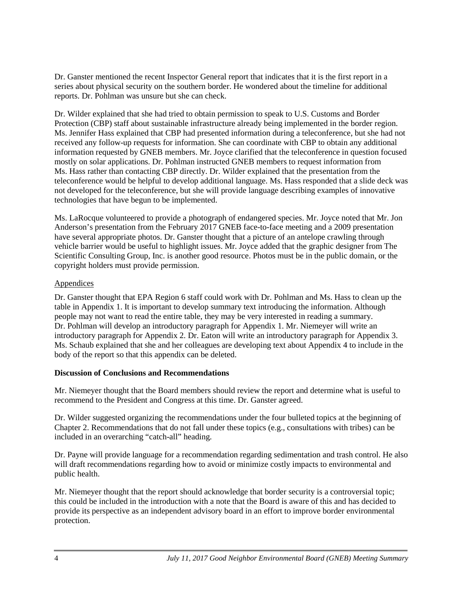Dr. Ganster mentioned the recent Inspector General report that indicates that it is the first report in a series about physical security on the southern border. He wondered about the timeline for additional reports. Dr. Pohlman was unsure but she can check.

Dr. Wilder explained that she had tried to obtain permission to speak to U.S. Customs and Border Protection (CBP) staff about sustainable infrastructure already being implemented in the border region. Ms. Jennifer Hass explained that CBP had presented information during a teleconference, but she had not received any follow-up requests for information. She can coordinate with CBP to obtain any additional information requested by GNEB members. Mr. Joyce clarified that the teleconference in question focused mostly on solar applications. Dr. Pohlman instructed GNEB members to request information from Ms. Hass rather than contacting CBP directly. Dr. Wilder explained that the presentation from the teleconference would be helpful to develop additional language. Ms. Hass responded that a slide deck was not developed for the teleconference, but she will provide language describing examples of innovative technologies that have begun to be implemented.

Ms. LaRocque volunteered to provide a photograph of endangered species. Mr. Joyce noted that Mr. Jon Anderson's presentation from the February 2017 GNEB face-to-face meeting and a 2009 presentation have several appropriate photos. Dr. Ganster thought that a picture of an antelope crawling through vehicle barrier would be useful to highlight issues. Mr. Joyce added that the graphic designer from The Scientific Consulting Group, Inc. is another good resource. Photos must be in the public domain, or the copyright holders must provide permission.

### Appendices

Dr. Ganster thought that EPA Region 6 staff could work with Dr. Pohlman and Ms. Hass to clean up the table in Appendix 1. It is important to develop summary text introducing the information. Although people may not want to read the entire table, they may be very interested in reading a summary. Dr. Pohlman will develop an introductory paragraph for Appendix 1. Mr. Niemeyer will write an introductory paragraph for Appendix 2. Dr. Eaton will write an introductory paragraph for Appendix 3. Ms. Schaub explained that she and her colleagues are developing text about Appendix 4 to include in the body of the report so that this appendix can be deleted.

#### **Discussion of Conclusions and Recommendations**

Mr. Niemeyer thought that the Board members should review the report and determine what is useful to recommend to the President and Congress at this time. Dr. Ganster agreed.

Dr. Wilder suggested organizing the recommendations under the four bulleted topics at the beginning of Chapter 2. Recommendations that do not fall under these topics (e.g., consultations with tribes) can be included in an overarching "catch-all" heading.

Dr. Payne will provide language for a recommendation regarding sedimentation and trash control. He also will draft recommendations regarding how to avoid or minimize costly impacts to environmental and public health.

Mr. Niemeyer thought that the report should acknowledge that border security is a controversial topic; this could be included in the introduction with a note that the Board is aware of this and has decided to provide its perspective as an independent advisory board in an effort to improve border environmental protection.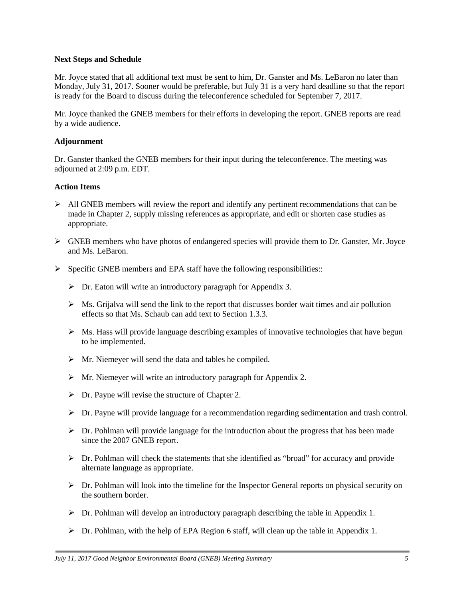#### **Next Steps and Schedule**

Mr. Joyce stated that all additional text must be sent to him, Dr. Ganster and Ms. LeBaron no later than Monday, July 31, 2017. Sooner would be preferable, but July 31 is a very hard deadline so that the report is ready for the Board to discuss during the teleconference scheduled for September 7, 2017.

Mr. Joyce thanked the GNEB members for their efforts in developing the report. GNEB reports are read by a wide audience.

#### **Adjournment**

Dr. Ganster thanked the GNEB members for their input during the teleconference. The meeting was adjourned at 2:09 p.m. EDT.

#### **Action Items**

- $\triangleright$  All GNEB members will review the report and identify any pertinent recommendations that can be made in Chapter 2, supply missing references as appropriate, and edit or shorten case studies as appropriate.
- $\triangleright$  GNEB members who have photos of endangered species will provide them to Dr. Ganster, Mr. Joyce and Ms. LeBaron.
- $\triangleright$  Specific GNEB members and EPA staff have the following responsibilities:
	- $\triangleright$  Dr. Eaton will write an introductory paragraph for Appendix 3.
	- $\triangleright$  Ms. Grijalva will send the link to the report that discusses border wait times and air pollution effects so that Ms. Schaub can add text to Section 1.3.3.
	- $\triangleright$  Ms. Hass will provide language describing examples of innovative technologies that have begun to be implemented.
	- $\triangleright$  Mr. Niemeyer will send the data and tables he compiled.
	- Mr. Niemeyer will write an introductory paragraph for Appendix 2.
	- $\triangleright$  Dr. Payne will revise the structure of Chapter 2.
	- $\triangleright$  Dr. Payne will provide language for a recommendation regarding sedimentation and trash control.
	- $\triangleright$  Dr. Pohlman will provide language for the introduction about the progress that has been made since the 2007 GNEB report.
	- $\triangleright$  Dr. Pohlman will check the statements that she identified as "broad" for accuracy and provide alternate language as appropriate.
	- $\triangleright$  Dr. Pohlman will look into the timeline for the Inspector General reports on physical security on the southern border.
	- $\triangleright$  Dr. Pohlman will develop an introductory paragraph describing the table in Appendix 1.
	- $\triangleright$  Dr. Pohlman, with the help of EPA Region 6 staff, will clean up the table in Appendix 1.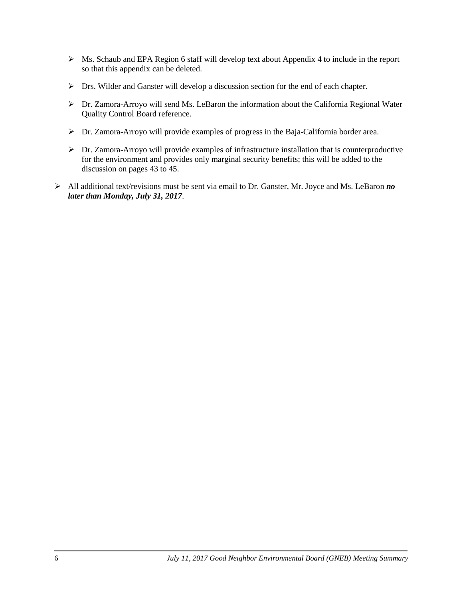- $\triangleright$  Ms. Schaub and EPA Region 6 staff will develop text about Appendix 4 to include in the report so that this appendix can be deleted.
- $\triangleright$  Drs. Wilder and Ganster will develop a discussion section for the end of each chapter.
- Dr. Zamora-Arroyo will send Ms. LeBaron the information about the California Regional Water Quality Control Board reference.
- Dr. Zamora-Arroyo will provide examples of progress in the Baja-California border area.
- Dr. Zamora-Arroyo will provide examples of infrastructure installation that is counterproductive for the environment and provides only marginal security benefits; this will be added to the discussion on pages 43 to 45.
- All additional text/revisions must be sent via email to Dr. Ganster, Mr. Joyce and Ms. LeBaron *no later than Monday, July 31, 2017*.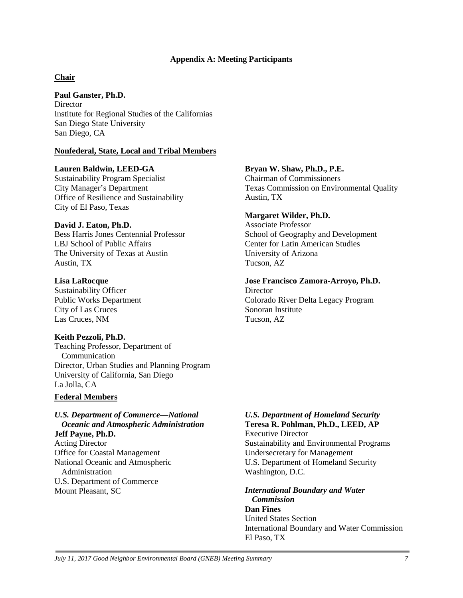#### **Appendix A: Meeting Participants**

#### **Chair**

**Paul Ganster, Ph.D. Director** Institute for Regional Studies of the Californias San Diego State University San Diego, CA

#### **Nonfederal, State, Local and Tribal Members**

#### **Lauren Baldwin, LEED-GA**

Sustainability Program Specialist City Manager's Department Office of Resilience and Sustainability City of El Paso, Texas

#### **David J. Eaton, Ph.D.**

Bess Harris Jones Centennial Professor LBJ School of Public Affairs The University of Texas at Austin Austin, TX

#### **Lisa LaRocque**

Sustainability Officer Public Works Department City of Las Cruces Las Cruces, NM

#### **Keith Pezzoli, Ph.D.**

Teaching Professor, Department of Communication Director, Urban Studies and Planning Program University of California, San Diego La Jolla, CA

#### **Federal Members**

# *U.S. Department of Commerce—National Oceanic and Atmospheric Administration*

**Jeff Payne, Ph.D.** Acting Director Office for Coastal Management National Oceanic and Atmospheric Administration U.S. Department of Commerce Mount Pleasant, SC

#### **Bryan W. Shaw, Ph.D., P.E.**

Chairman of Commissioners Texas Commission on Environmental Quality Austin, TX

#### **Margaret Wilder, Ph.D.**

Associate Professor School of Geography and Development Center for Latin American Studies University of Arizona Tucson, AZ

#### **Jose Francisco Zamora-Arroyo, Ph.D.**

**Director** Colorado River Delta Legacy Program Sonoran Institute Tucson, AZ

#### *U.S. Department of Homeland Security*  **Teresa R. Pohlman, Ph.D., LEED, AP**

Executive Director Sustainability and Environmental Programs Undersecretary for Management U.S. Department of Homeland Security Washington, D.C.

#### *International Boundary and Water Commission*

**Dan Fines** United States Section International Boundary and Water Commission El Paso, TX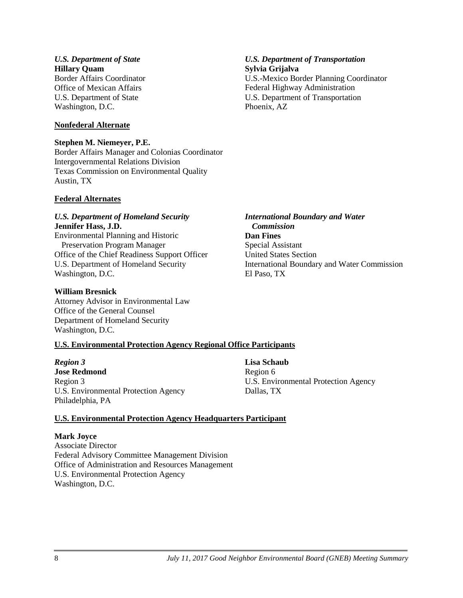#### *International Boundary and Water Commission* **Dan Fines** Special Assistant

United States Section International Boundary and Water Commission El Paso, TX

# **U.S. Environmental Protection Agency Regional Office Participants**

*Region 3* **Jose Redmond** Region 3 U.S. Environmental Protection Agency Philadelphia, PA

**Lisa Schaub** Region 6 U.S. Environmental Protection Agency Dallas, TX

# **U.S. Environmental Protection Agency Headquarters Participant**

# **Mark Joyce**

Associate Director Federal Advisory Committee Management Division Office of Administration and Resources Management U.S. Environmental Protection Agency Washington, D.C.

#### *U.S. Department of State* **Hillary Quam**

Border Affairs Coordinator Office of Mexican Affairs U.S. Department of State Washington, D.C.

# **Nonfederal Alternate**

# **Stephen M. Niemeyer, P.E.**

Border Affairs Manager and Colonias Coordinator Intergovernmental Relations Division Texas Commission on Environmental Quality Austin, TX

# **Federal Alternates**

#### *U.S. Department of Homeland Security* **Jennifer Hass, J.D.**

Environmental Planning and Historic Preservation Program Manager Office of the Chief Readiness Support Officer U.S. Department of Homeland Security Washington, D.C.

# **William Bresnick**

Attorney Advisor in Environmental Law Office of the General Counsel Department of Homeland Security Washington, D.C.

### *U.S. Department of Transportation* **Sylvia Grijalva**

U.S.-Mexico Border Planning Coordinator Federal Highway Administration U.S. Department of Transportation Phoenix, AZ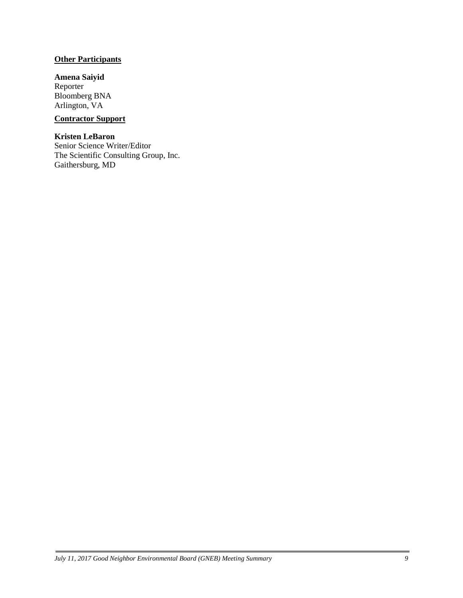### **Other Participants**

# **Amena Saiyid**

Reporter Bloomberg BNA Arlington, VA

# **Contractor Support**

#### **Kristen LeBaron**

Senior Science Writer/Editor The Scientific Consulting Group, Inc. Gaithersburg, MD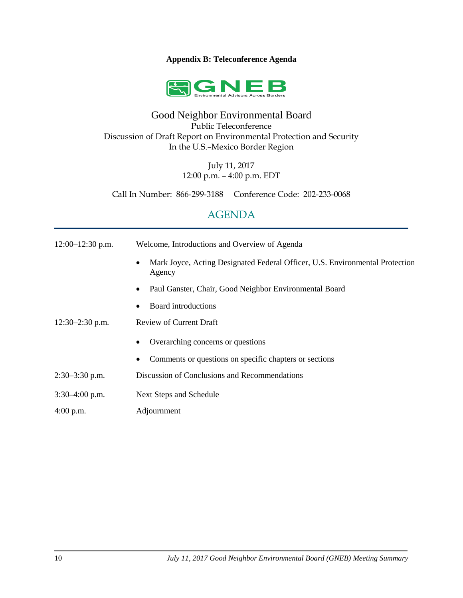#### **Appendix B: Teleconference Agenda**



# Good Neighbor Environmental Board Public Teleconference Discussion of Draft Report on Environmental Protection and Security In the U.S.–Mexico Border Region

July 11, 2017 12:00 p.m. – 4:00 p.m. EDT

Call In Number: 866-299-3188 Conference Code: 202-233-0068

# AGENDA

| $12:00-12:30$ p.m. | Welcome, Introductions and Overview of Agenda                                                       |
|--------------------|-----------------------------------------------------------------------------------------------------|
|                    | Mark Joyce, Acting Designated Federal Officer, U.S. Environmental Protection<br>$\bullet$<br>Agency |
|                    | Paul Ganster, Chair, Good Neighbor Environmental Board<br>٠                                         |
|                    | Board introductions<br>$\bullet$                                                                    |
| $12:30-2:30$ p.m.  | <b>Review of Current Draft</b>                                                                      |
|                    | Overarching concerns or questions<br>٠                                                              |
|                    | Comments or questions on specific chapters or sections<br>٠                                         |
| $2:30-3:30$ p.m.   | Discussion of Conclusions and Recommendations                                                       |
| $3:30-4:00$ p.m.   | Next Steps and Schedule                                                                             |
| $4:00$ p.m.        | Adjournment                                                                                         |